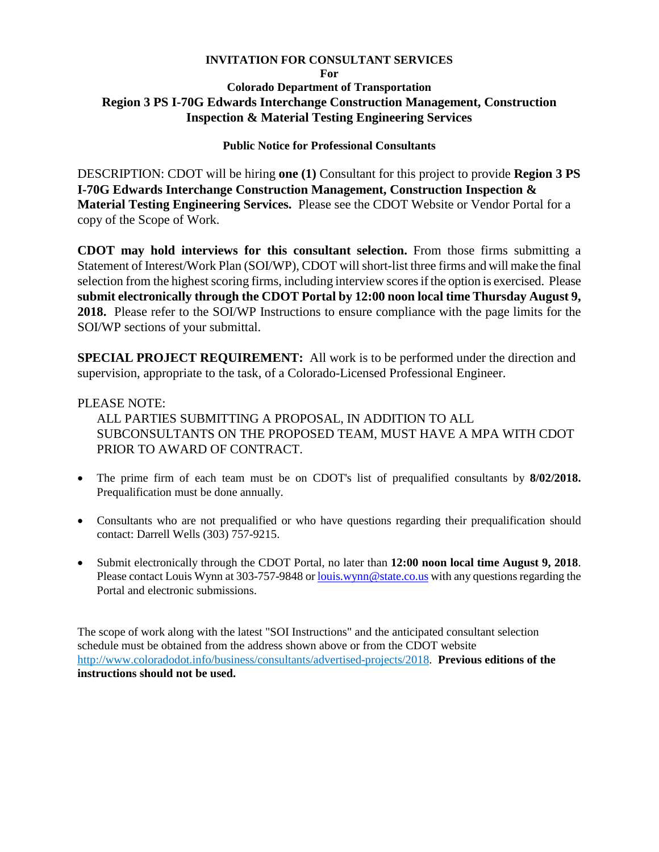### **INVITATION FOR CONSULTANT SERVICES**

## **For Colorado Department of Transportation Region 3 PS I-70G Edwards Interchange Construction Management, Construction Inspection & Material Testing Engineering Services**

# **Public Notice for Professional Consultants**

DESCRIPTION: CDOT will be hiring **one (1)** Consultant for this project to provide **Region 3 PS I-70G Edwards Interchange Construction Management, Construction Inspection & Material Testing Engineering Services.** Please see the CDOT Website or Vendor Portal for a copy of the Scope of Work.

**CDOT may hold interviews for this consultant selection.** From those firms submitting a Statement of Interest/Work Plan (SOI/WP), CDOT will short-list three firms and will make the final selection from the highest scoring firms, including interview scoresif the option is exercised. Please **submit electronically through the CDOT Portal by 12:00 noon local time Thursday August 9, 2018.** Please refer to the SOI/WP Instructions to ensure compliance with the page limits for the SOI/WP sections of your submittal.

**SPECIAL PROJECT REQUIREMENT:** All work is to be performed under the direction and supervision, appropriate to the task, of a Colorado-Licensed Professional Engineer.

# PLEASE NOTE:

ALL PARTIES SUBMITTING A PROPOSAL, IN ADDITION TO ALL SUBCONSULTANTS ON THE PROPOSED TEAM, MUST HAVE A MPA WITH CDOT PRIOR TO AWARD OF CONTRACT.

- The prime firm of each team must be on CDOT's list of prequalified consultants by **8/02/2018.** Prequalification must be done annually.
- Consultants who are not prequalified or who have questions regarding their prequalification should contact: Darrell Wells (303) 757-9215.
- Submit electronically through the CDOT Portal, no later than **12:00 noon local time August 9, 2018**. Please contact Louis Wynn at 303-757-9848 o[r louis.wynn@state.co.us](mailto:louis.wynn@state.co.us) with any questions regarding the Portal and electronic submissions.

The scope of work along with the latest "SOI Instructions" and the anticipated consultant selection schedule must be obtained from the address shown above or from the CDOT website http://www.coloradodot.info/business/consultants/advertised-projects/2018. **Previous editions of the instructions should not be used.**